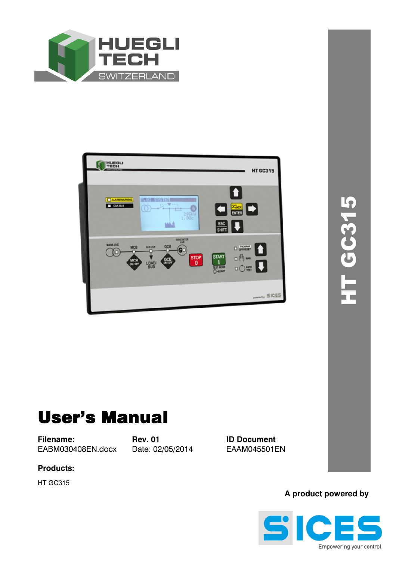



# User's Manual

**Filename: Rev. 01 ID Document**<br>EABM030408EN.docx Date: 02/05/2014 EAAM045501EN EABM030408EN.docx Date: 02/05/2014

**Products:** 

HT GC315

**A product powered by** 

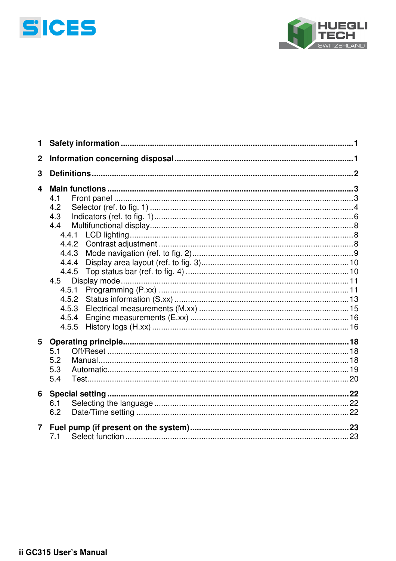



| 1                       |                                                                                                |  |  |  |  |  |  |  |
|-------------------------|------------------------------------------------------------------------------------------------|--|--|--|--|--|--|--|
| $\mathbf 2$             |                                                                                                |  |  |  |  |  |  |  |
| 3                       |                                                                                                |  |  |  |  |  |  |  |
| $\overline{\mathbf{4}}$ | 4.1<br>4.2<br>4.3<br>4.4<br>4.4.2<br>4.4.3<br>4.4.4<br>4.4.5<br>4.5<br>4.5.1<br>4.5.2<br>4.5.3 |  |  |  |  |  |  |  |
|                         | 4.5.4<br>4.5.5                                                                                 |  |  |  |  |  |  |  |
| 5                       | 5.1<br>5.2<br>5.3<br>5.4                                                                       |  |  |  |  |  |  |  |
| 6                       | 6.1<br>6.2                                                                                     |  |  |  |  |  |  |  |
| $\overline{7}$          | 7.1                                                                                            |  |  |  |  |  |  |  |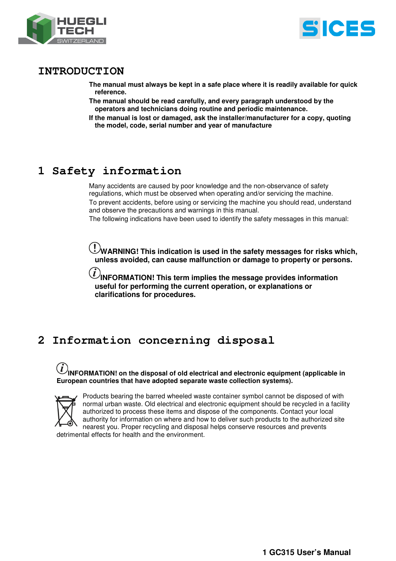



## **INTRODUCTION**

**The manual must always be kept in a safe place where it is readily available for quick reference.** 

- **The manual should be read carefully, and every paragraph understood by the operators and technicians doing routine and periodic maintenance.**
- **If the manual is lost or damaged, ask the installer/manufacturer for a copy, quoting the model, code, serial number and year of manufacture**

## **1 Safety information**

Many accidents are caused by poor knowledge and the non-observance of safety regulations, which must be observed when operating and/or servicing the machine. To prevent accidents, before using or servicing the machine you should read, understand and observe the precautions and warnings in this manual.

The following indications have been used to identify the safety messages in this manual:

**WARNING!** This indication is used in the safety messages for risks which, **unless avoided, can cause malfunction or damage to property or persons.**

 $\hat{\bm{l}}$  INFORMATION! This term implies the message provides information **useful for performing the current operation, or explanations or clarifications for procedures.** 

## **2 Information concerning disposal**

### **INFORMATION! on the disposal of old electrical and electronic equipment (applicable in European countries that have adopted separate waste collection systems).**



Products bearing the barred wheeled waste container symbol cannot be disposed of with normal urban waste. Old electrical and electronic equipment should be recycled in a facility authorized to process these items and dispose of the components. Contact your local authority for information on where and how to deliver such products to the authorized site nearest you. Proper recycling and disposal helps conserve resources and prevents detrimental effects for health and the environment.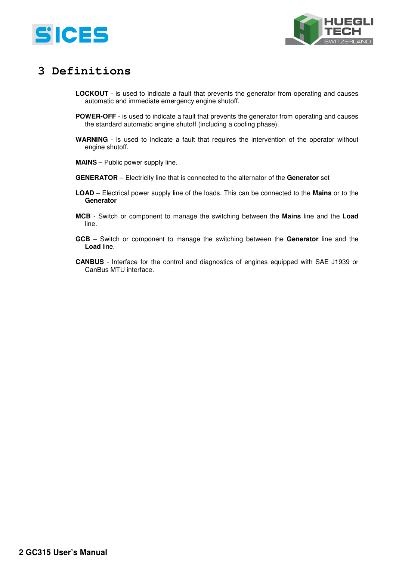



## **3 Definitions**

- **LOCKOUT** is used to indicate a fault that prevents the generator from operating and causes automatic and immediate emergency engine shutoff.
- **POWER-OFF** is used to indicate a fault that prevents the generator from operating and causes the standard automatic engine shutoff (including a cooling phase).
- **WARNING** is used to indicate a fault that requires the intervention of the operator without engine shutoff.
- **MAINS** Public power supply line.
- **GENERATOR** Electricity line that is connected to the alternator of the **Generator** set
- **LOAD** Electrical power supply line of the loads. This can be connected to the **Mains** or to the **Generator**
- **MCB** Switch or component to manage the switching between the **Mains** line and the **Load** line.
- **GCB** Switch or component to manage the switching between the **Generator** line and the **Load** line.
- **CANBUS**  Interface for the control and diagnostics of engines equipped with SAE J1939 or CanBus MTU interface.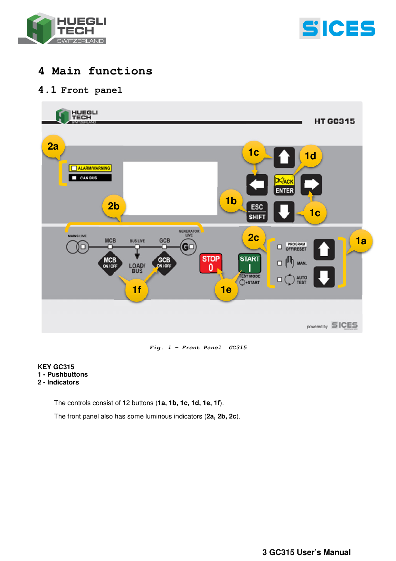



## **4 Main functions**

## **4.1 Front panel**



**Fig. 1 – Front Panel GC315** 

#### **KEY GC315 1 - Pushbuttons 2 - Indicators**

The controls consist of 12 buttons (**1a, 1b, 1c, 1d, 1e, 1f**).

The front panel also has some luminous indicators (**2a, 2b, 2c**).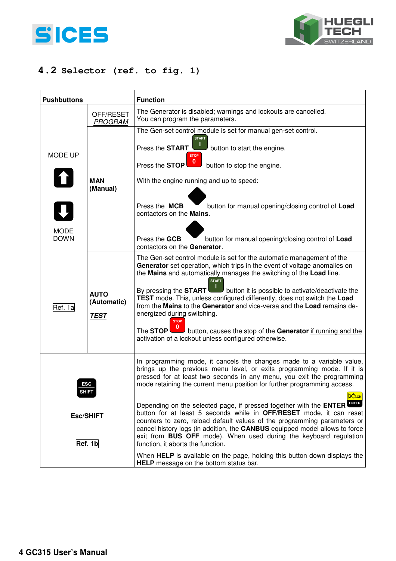



## **4.2 Selector (ref. to fig. 1)**

| <b>Pushbuttons</b>          |                                           | <b>Function</b>                                                                                                                                                                                                                                                                                                                                                                                                                                                                                                                                                                                                                                                       |  |  |  |  |
|-----------------------------|-------------------------------------------|-----------------------------------------------------------------------------------------------------------------------------------------------------------------------------------------------------------------------------------------------------------------------------------------------------------------------------------------------------------------------------------------------------------------------------------------------------------------------------------------------------------------------------------------------------------------------------------------------------------------------------------------------------------------------|--|--|--|--|
|                             | OFF/RESET<br><b>PROGRAM</b>               | The Generator is disabled; warnings and lockouts are cancelled.<br>You can program the parameters.                                                                                                                                                                                                                                                                                                                                                                                                                                                                                                                                                                    |  |  |  |  |
| MODE UP                     |                                           | The Gen-set control module is set for manual gen-set control.<br><b>START</b><br>Press the <b>START</b><br>button to start the engine.<br><b>STOP</b><br>$\mathbf{0}$                                                                                                                                                                                                                                                                                                                                                                                                                                                                                                 |  |  |  |  |
| $\mathbf{u}$                | <b>MAN</b><br>(Manual)                    | Press the STOP<br>button to stop the engine.<br>With the engine running and up to speed:                                                                                                                                                                                                                                                                                                                                                                                                                                                                                                                                                                              |  |  |  |  |
| $\overline{\mathbf{Q}}$     |                                           | Press the MCB<br>button for manual opening/closing control of Load<br>contactors on the <b>Mains</b> .                                                                                                                                                                                                                                                                                                                                                                                                                                                                                                                                                                |  |  |  |  |
| <b>MODE</b><br><b>DOWN</b>  |                                           | Press the GCB<br>button for manual opening/closing control of Load<br>contactors on the Generator.                                                                                                                                                                                                                                                                                                                                                                                                                                                                                                                                                                    |  |  |  |  |
| Ref. 1a                     | <b>AUTO</b><br>(Automatic)<br><b>TEST</b> | The Gen-set control module is set for the automatic management of the<br>Generator set operation, which trips in the event of voltage anomalies on<br>the Mains and automatically manages the switching of the Load line.<br><b>START</b><br>By pressing the <b>START</b><br>button it is possible to activate/deactivate the<br>TEST mode. This, unless configured differently, does not switch the Load<br>from the Mains to the Generator and vice-versa and the Load remains de-<br>energized during switching.<br><b>STOP</b><br>The STOP<br>button, causes the stop of the Generator if running and the<br>activation of a lockout unless configured otherwise. |  |  |  |  |
|                             | ESC<br><b>SHIFT</b>                       | In programming mode, it cancels the changes made to a variable value,<br>brings up the previous menu level, or exits programming mode. If it is<br>pressed for at least two seconds in any menu, you exit the programming<br>mode retaining the current menu position for further programming access.                                                                                                                                                                                                                                                                                                                                                                 |  |  |  |  |
| <b>Esc/SHIFT</b><br>Ref. 1b |                                           | <b>X</b> ACK<br>Depending on the selected page, if pressed together with the ENTER EVER<br>button for at least 5 seconds while in OFF/RESET mode, it can reset<br>counters to zero, reload default values of the programming parameters or<br>cancel history logs (in addition, the CANBUS equipped model allows to force<br>exit from BUS OFF mode). When used during the keyboard regulation<br>function, it aborts the function.                                                                                                                                                                                                                                   |  |  |  |  |
|                             |                                           | When HELP is available on the page, holding this button down displays the<br>HELP message on the bottom status bar.                                                                                                                                                                                                                                                                                                                                                                                                                                                                                                                                                   |  |  |  |  |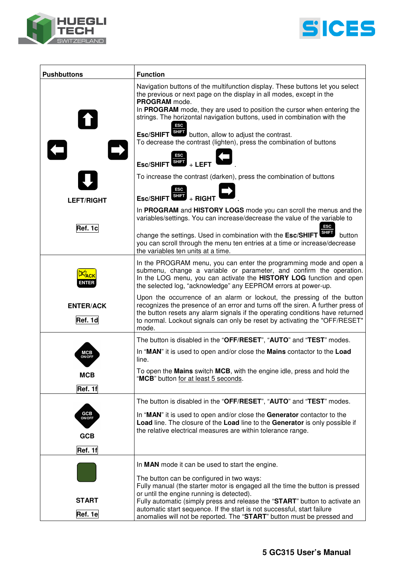



| <b>Pushbuttons</b><br><b>Function</b> |                                                                                                                                                                                                                                                                                                                                   |  |  |  |  |
|---------------------------------------|-----------------------------------------------------------------------------------------------------------------------------------------------------------------------------------------------------------------------------------------------------------------------------------------------------------------------------------|--|--|--|--|
|                                       | Navigation buttons of the multifunction display. These buttons let you select<br>the previous or next page on the display in all modes, except in the<br>PROGRAM mode.                                                                                                                                                            |  |  |  |  |
|                                       | In PROGRAM mode, they are used to position the cursor when entering the<br>strings. The horizontal navigation buttons, used in combination with the<br>ESC                                                                                                                                                                        |  |  |  |  |
|                                       | Esc/SHIFT SHIFT button, allow to adjust the contrast.<br>To decrease the contrast (lighten), press the combination of buttons                                                                                                                                                                                                     |  |  |  |  |
|                                       | $\frac{1}{\text{SHE}}$ + LEFT                                                                                                                                                                                                                                                                                                     |  |  |  |  |
|                                       | To increase the contrast (darken), press the combination of buttons<br>ESC                                                                                                                                                                                                                                                        |  |  |  |  |
| <b>LEFT/RIGHT</b>                     | $Esc/SHIFT$ $HIT$ + RIGHT                                                                                                                                                                                                                                                                                                         |  |  |  |  |
|                                       | In PROGRAM and HISTORY LOGS mode you can scroll the menus and the<br>variables/settings. You can increase/decrease the value of the variable to                                                                                                                                                                                   |  |  |  |  |
| Ref. 1c                               | <b>ESC</b><br>change the settings. Used in combination with the Esc/SHIFT SHET button<br>you can scroll through the menu ten entries at a time or increase/decrease<br>the variables ten units at a time.                                                                                                                         |  |  |  |  |
|                                       | In the PROGRAM menu, you can enter the programming mode and open a<br>submenu, change a variable or parameter, and confirm the operation.<br>In the LOG menu, you can activate the HISTORY LOG function and open<br>the selected log, "acknowledge" any EEPROM errors at power-up.                                                |  |  |  |  |
| <b>ENTER/ACK</b><br>Ref. 1d           | Upon the occurrence of an alarm or lockout, the pressing of the button<br>recognizes the presence of an error and turns off the siren. A further press of<br>the button resets any alarm signals if the operating conditions have returned<br>to normal. Lockout signals can only be reset by activating the "OFF/RESET"<br>mode. |  |  |  |  |
|                                       | The button is disabled in the "OFF/RESET", "AUTO" and "TEST" modes.                                                                                                                                                                                                                                                               |  |  |  |  |
| мсв<br><b>ON/OFF</b>                  | In "MAN" it is used to open and/or close the Mains contactor to the Load<br>line.                                                                                                                                                                                                                                                 |  |  |  |  |
| <b>MCB</b>                            | To open the Mains switch MCB, with the engine idle, press and hold the<br>"MCB" button for at least 5 seconds.                                                                                                                                                                                                                    |  |  |  |  |
| Ref. 1f                               |                                                                                                                                                                                                                                                                                                                                   |  |  |  |  |
|                                       | The button is disabled in the "OFF/RESET", "AUTO" and "TEST" modes.                                                                                                                                                                                                                                                               |  |  |  |  |
| <b>GCB</b><br>ON/OFF<br><b>GCB</b>    | In "MAN" it is used to open and/or close the Generator contactor to the<br>Load line. The closure of the Load line to the Generator is only possible if<br>the relative electrical measures are within tolerance range.                                                                                                           |  |  |  |  |
|                                       |                                                                                                                                                                                                                                                                                                                                   |  |  |  |  |
| Ref. 1f                               |                                                                                                                                                                                                                                                                                                                                   |  |  |  |  |
|                                       | In MAN mode it can be used to start the engine.                                                                                                                                                                                                                                                                                   |  |  |  |  |
|                                       | The button can be configured in two ways:<br>Fully manual (the starter motor is engaged all the time the button is pressed                                                                                                                                                                                                        |  |  |  |  |
| <b>START</b>                          | or until the engine running is detected).<br>Fully automatic (simply press and release the "START" button to activate an                                                                                                                                                                                                          |  |  |  |  |
| Ref. 1e                               | automatic start sequence. If the start is not successful, start failure<br>anomalies will not be reported. The "START" button must be pressed and                                                                                                                                                                                 |  |  |  |  |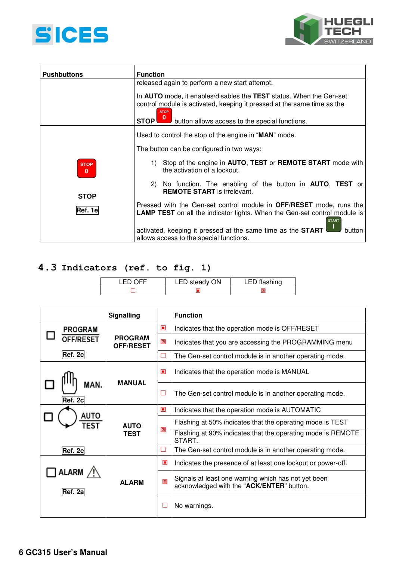



| <b>Pushbuttons</b>      | <b>Function</b>                                                                                                                                                                                                                                                                         |  |  |  |  |  |  |
|-------------------------|-----------------------------------------------------------------------------------------------------------------------------------------------------------------------------------------------------------------------------------------------------------------------------------------|--|--|--|--|--|--|
|                         | released again to perform a new start attempt.<br>In <b>AUTO</b> mode, it enables/disables the TEST status. When the Gen-set<br>control module is activated, keeping it pressed at the same time as the<br><b>STOP</b><br>button allows access to the special functions.<br><b>STOP</b> |  |  |  |  |  |  |
|                         |                                                                                                                                                                                                                                                                                         |  |  |  |  |  |  |
|                         | Used to control the stop of the engine in "MAN" mode.                                                                                                                                                                                                                                   |  |  |  |  |  |  |
|                         | The button can be configured in two ways:                                                                                                                                                                                                                                               |  |  |  |  |  |  |
| <b>STOP</b><br>$\bf{0}$ | Stop of the engine in AUTO, TEST or REMOTE START mode with<br>1)<br>the activation of a lockout.                                                                                                                                                                                        |  |  |  |  |  |  |
| <b>STOP</b>             | No function. The enabling of the button in <b>AUTO</b> , TEST or<br>2)<br><b>REMOTE START</b> is irrelevant.                                                                                                                                                                            |  |  |  |  |  |  |
| Ref. 1e                 | Pressed with the Gen-set control module in <b>OFF/RESET</b> mode, runs the<br><b>LAMP TEST</b> on all the indicator lights. When the Gen-set control module is<br><b>START</b>                                                                                                          |  |  |  |  |  |  |
|                         | activated, keeping it pressed at the same time as the <b>START</b><br>button<br>allows access to the special functions.                                                                                                                                                                 |  |  |  |  |  |  |

## **4.3 Indicators (ref. to fig. 1)**

| ℩⊏⊏<br>LED | LED steady ON | LED flashing |
|------------|---------------|--------------|
|            |               |              |

|  |                             | Signalling                         |        | <b>Function</b>                                                                                  |  |
|--|-----------------------------|------------------------------------|--------|--------------------------------------------------------------------------------------------------|--|
|  | <b>PROGRAM</b>              |                                    | $\Box$ | Indicates that the operation mode is OFF/RESET                                                   |  |
|  | <b>PFF/RESET</b><br>Ref. 2c | <b>PROGRAM</b><br><b>OFF/RESET</b> | o      | Indicates that you are accessing the PROGRAMMING menu                                            |  |
|  |                             |                                    | □      | The Gen-set control module is in another operating mode.                                         |  |
|  | MAN.<br>Ref. 2c             | <b>MANUAL</b>                      | ⊡      | Indicates that the operation mode is MANUAL                                                      |  |
|  |                             |                                    | □      | The Gen-set control module is in another operating mode.                                         |  |
|  | AUTO                        | TFST<br><b>AUTO</b><br><b>TEST</b> | ⊡      | Indicates that the operation mode is AUTOMATIC                                                   |  |
|  |                             |                                    | 回      | Flashing at 50% indicates that the operating mode is TEST                                        |  |
|  |                             |                                    |        | Flashing at 90% indicates that the operating mode is REMOTE<br>START.                            |  |
|  | Ref. 2c                     |                                    | $\Box$ | The Gen-set control module is in another operating mode.                                         |  |
|  | <b>ALARM</b><br>Ref. 2a     | <b>ALARM</b>                       | ⊡      | Indicates the presence of at least one lockout or power-off.                                     |  |
|  |                             |                                    | 回      | Signals at least one warning which has not yet been<br>acknowledged with the "ACK/ENTER" button. |  |
|  |                             |                                    | E      | No warnings.                                                                                     |  |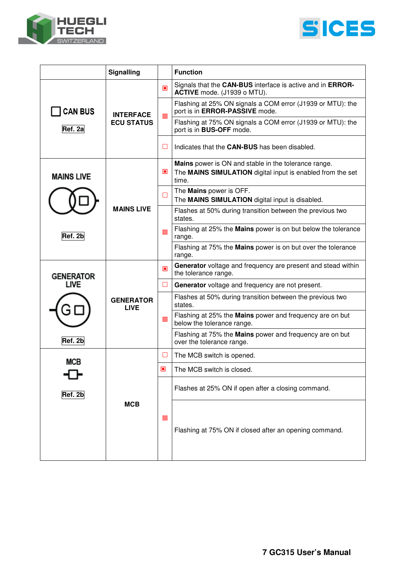



| Signalling        |                                       |        | <b>Function</b>                                                                                                             |  |
|-------------------|---------------------------------------|--------|-----------------------------------------------------------------------------------------------------------------------------|--|
|                   | <b>INTERFACE</b><br><b>ECU STATUS</b> | $\Box$ | Signals that the CAN-BUS interface is active and in ERROR-<br>ACTIVE mode. (J1939 o MTU).                                   |  |
| <b>CAN BUS</b>    |                                       | 圓      | Flashing at 25% ON signals a COM error (J1939 or MTU): the<br>port is in ERROR-PASSIVE mode.                                |  |
| Ref. 2a           |                                       |        | Flashing at 75% ON signals a COM error (J1939 or MTU): the<br>port is in <b>BUS-OFF</b> mode.                               |  |
|                   |                                       | H      | Indicates that the CAN-BUS has been disabled.                                                                               |  |
| <b>MAINS LIVE</b> |                                       | ▣      | Mains power is ON and stable in the tolerance range.<br>The MAINS SIMULATION digital input is enabled from the set<br>time. |  |
|                   |                                       | O      | The Mains power is OFF.<br>The MAINS SIMULATION digital input is disabled.                                                  |  |
|                   | <b>MAINS LIVE</b>                     | 回      | Flashes at 50% during transition between the previous two<br>states.                                                        |  |
| Ref. 2b           |                                       |        | Flashing at 25% the Mains power is on but below the tolerance<br>range.                                                     |  |
|                   |                                       |        | Flashing at 75% the Mains power is on but over the tolerance<br>range.                                                      |  |
| <b>GENERATOR</b>  | <b>GENERATOR</b><br><b>LIVE</b>       | $\Box$ | Generator voltage and frequency are present and stead within<br>the tolerance range.                                        |  |
| <b>LIVE</b>       |                                       | ш      | Generator voltage and frequency are not present.                                                                            |  |
|                   |                                       | 回      | Flashes at 50% during transition between the previous two<br>states.                                                        |  |
|                   |                                       |        | Flashing at 25% the Mains power and frequency are on but<br>below the tolerance range.                                      |  |
| Ref. 2b           |                                       |        | Flashing at 75% the Mains power and frequency are on but<br>over the tolerance range.                                       |  |
| MCB               |                                       | ⊔      | The MCB switch is opened.                                                                                                   |  |
|                   |                                       | ▣      | The MCB switch is closed.                                                                                                   |  |
| Ref. 2b           |                                       | 回      | Flashes at 25% ON if open after a closing command.                                                                          |  |
|                   | <b>MCB</b>                            |        | Flashing at 75% ON if closed after an opening command.                                                                      |  |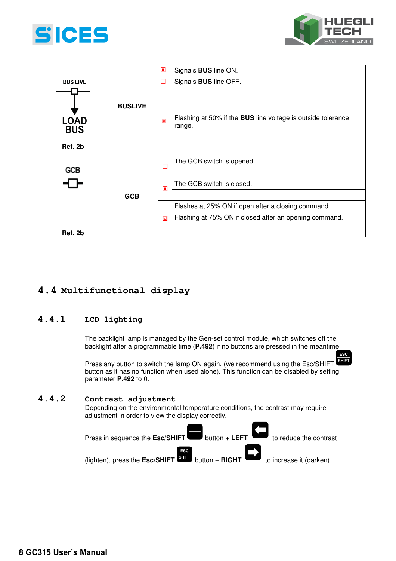



**ESC** 

|                                                 |            | $\Box$ | Signals <b>BUS</b> line ON.                                            |  |
|-------------------------------------------------|------------|--------|------------------------------------------------------------------------|--|
| <b>BUS LIVE</b>                                 |            |        | Signals <b>BUS</b> line OFF.                                           |  |
| <b>BUSLIVE</b><br>LOAD<br><b>BUS</b><br>Ref. 2b |            | 回      | Flashing at 50% if the BUS line voltage is outside tolerance<br>range. |  |
|                                                 |            |        | The GCB switch is opened.                                              |  |
| <b>GCB</b>                                      |            | □      |                                                                        |  |
|                                                 |            | ▣      | The GCB switch is closed.                                              |  |
|                                                 | <b>GCB</b> |        |                                                                        |  |
|                                                 |            |        | Flashes at 25% ON if open after a closing command.                     |  |
|                                                 |            | 回      | Flashing at 75% ON if closed after an opening command.                 |  |
| Ref. 2b                                         |            |        | ٠                                                                      |  |

## **4.4 Multifunctional display**

### **4.4.1 LCD lighting**

The backlight lamp is managed by the Gen-set control module, which switches off the backlight after a programmable time (**P.492**) if no buttons are pressed in the meantime.

Press any button to switch the lamp ON again, (we recommend using the Esc/SHIFT **SHIFT** button as it has no function when used alone). This function can be disabled by setting parameter **P.492** to 0.

### **4.4.2 Contrast adjustment**

Depending on the environmental temperature conditions, the contrast may require adjustment in order to view the display correctly.

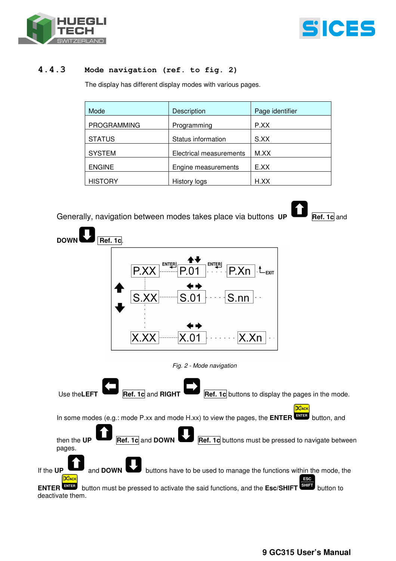



#### **4.4.3 Mode navigation (ref. to fig. 2)**

The display has different display modes with various pages.

| Mode               | Description             | Page identifier |
|--------------------|-------------------------|-----------------|
| <b>PROGRAMMING</b> | Programming             | P.XX            |
| <b>STATUS</b>      | Status information      | S.XX            |
| <b>SYSTEM</b>      | Electrical measurements | M.XX            |
| <b>ENGINE</b>      | Engine measurements     | E.XX            |
| <b>HISTORY</b>     | History logs            | H.XX            |

## Generally, navigation between modes takes place via buttons **UP Ref. 1c** and





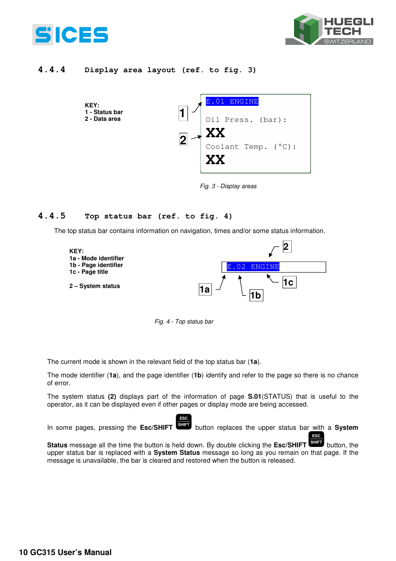



### **4.4.4 Display area layout (ref. to fig. 3)**



*Fig. 3 - Display areas* 

### **4.4.5 Top status bar (ref. to fig. 4)**

The top status bar contains information on navigation, times and/or some status information.





**ESC** 

The current mode is shown in the relevant field of the top status bar (**1a**).

The mode identifier (**1a**), and the page identifier (**1b**) identify and refer to the page so there is no chance of error.

The system status **(2)** displays part of the information of page **S.01**(STATUS) that is useful to the operator, as it can be displayed even if other pages or display mode are being accessed.

In some pages, pressing the Esc/SHIFT SHIFT button replaces the upper status bar with a System

**ESC** 

Status message all the time the button is held down. By double clicking the Esc/SHIFT **SHIFT** button, the upper status bar is replaced with a **System Status** message so long as you remain on that page. If the message is unavailable, the bar is cleared and restored when the button is released.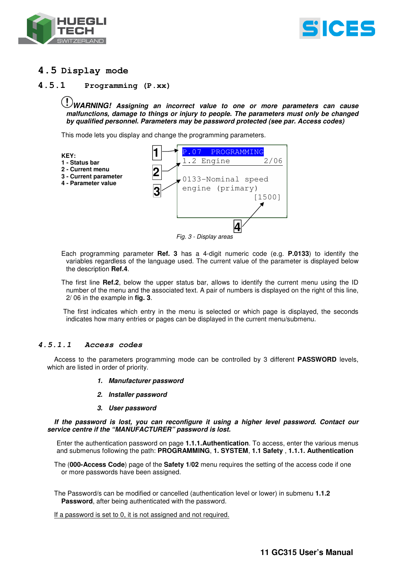



## **4.5 Display mode**

#### **4.5.1 Programming (P.xx)**

**WARNING! Assigning an incorrect value to one or more parameters can cause malfunctions, damage to things or injury to people. The parameters must only be changed by qualified personnel. Parameters may be password protected (see par. Access codes)** 

This mode lets you display and change the programming parameters.



*Fig. 3 - Display areas* 

- Each programming parameter **Ref. 3** has a 4-digit numeric code (e.g. **P.0133**) to identify the variables regardless of the language used. The current value of the parameter is displayed below the description **Ref.4**.
- The first line **Ref.2**, below the upper status bar, allows to identify the current menu using the ID number of the menu and the associated text. A pair of numbers is displayed on the right of this line, 2/ 06 in the example in **fig. 3**.

 The first indicates which entry in the menu is selected or which page is displayed, the seconds indicates how many entries or pages can be displayed in the current menu/submenu.

#### **4.5.1.1 Access codes**

Access to the parameters programming mode can be controlled by 3 different **PASSWORD** levels, which are listed in order of priority.

- **1. Manufacturer password**
- **2. Installer password**
- **3. User password**

**If the password is lost, you can reconfigure it using a higher level password. Contact our service centre if the "MANUFACTURER" password is lost.** 

Enter the authentication password on page **1.1.1.Authentication**. To access, enter the various menus and submenus following the path: **PROGRAMMING**, **1. SYSTEM**, **1.1 Safety** , **1.1.1. Authentication** 

The (**000-Access Code**) page of the **Safety 1/02** menu requires the setting of the access code if one or more passwords have been assigned.

The Password/s can be modified or cancelled (authentication level or lower) in submenu **1.1.2 Password**, after being authenticated with the password.

If a password is set to 0, it is not assigned and not required.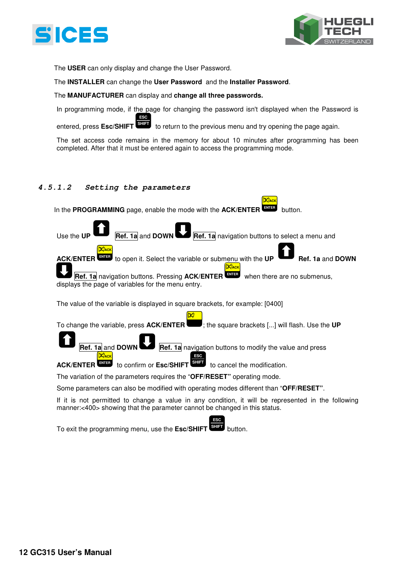



The **USER** can only display and change the User Password.

The **INSTALLER** can change the **User Password** and the **Installer Password**.

#### The **MANUFACTURER** can display and **change all three passwords.**

In programming mode, if the page for changing the password isn't displayed when the Password is **ESC** 

entered, press **Esc/SHIFT** to return to the previous menu and try opening the page again. **SHIFT**

The set access code remains in the memory for about 10 minutes after programming has been completed. After that it must be entered again to access the programming mode.

**ACK**

#### **4.5.1.2 Setting the parameters**

In the **PROGRAMMING** page, enable the mode with the **ACK/ENTER** WILD button. Use the **UP <b>Ref.** 1a and **DOWN Ref. 1a** navigation buttons to select a menu and **ACK/ENTER** to open it. Select the variable or submenu with the **UP Ref. 1a** and **DOWN** Ref. 1a navigation buttons. Pressing ACK/ENTER<sup>LIMES</sup> when there are no submenus, displays the page of variables for the menu entry. The value of the variable is displayed in square brackets, for example: [0400] To change the variable, press **ACK/ENTER** ; the square brackets [...] will flash. Use the **UP Ref. 1a** and **DOWN Ref. 1a** navigation buttons to modify the value and press **ACK/ENTER** to confirm or **Esc/SHIFT** to cancel the modification. The variation of the parameters requires the "**OFF/RESET"** operating mode. Some parameters can also be modified with operating modes different than "**OFF/RESET"**.  **ENTER ENTER ACK ACK ENTER ACK ESC SHIFT** to cancel the modification.

If it is not permitted to change a value in any condition, it will be represented in the following manner:<400> showing that the parameter cannot be changed in this status.

**ESC** 

To exit the programming menu, use the **Esc/SHIFT** button. **SHIFT**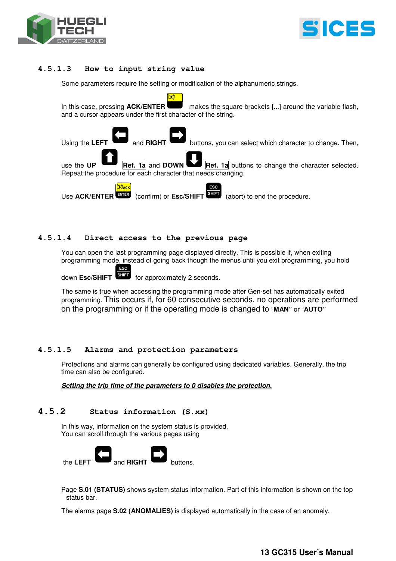



#### **4.5.1.3 How to input string value**

Some parameters require the setting or modification of the alphanumeric strings.

In this case, pressing **ACK/ENTER** makes the square brackets [...] around the variable flash, and a cursor appears under the first character of the string.



#### **4.5.1.4 Direct access to the previous page**

You can open the last programming page displayed directly. This is possible if, when exiting programming mode, instead of going back though the menus until you exit programming, you hold

for approximately 2 seconds. down Esc/SHIFT<sup>SHIFT</sup>

**ESC** 

The same is true when accessing the programming mode after Gen-set has automatically exited programming. This occurs if, for 60 consecutive seconds, no operations are performed on the programming or if the operating mode is changed to "**MAN"** or "**AUTO"**

#### **4.5.1.5 Alarms and protection parameters**

Protections and alarms can generally be configured using dedicated variables. Generally, the trip time can also be configured.

**Setting the trip time of the parameters to 0 disables the protection.**

#### **4.5.2 Status information (S.xx)**

In this way, information on the system status is provided. You can scroll through the various pages using



Page **S.01 (STATUS)** shows system status information. Part of this information is shown on the top status bar.

The alarms page **S.02 (ANOMALIES)** is displayed automatically in the case of an anomaly.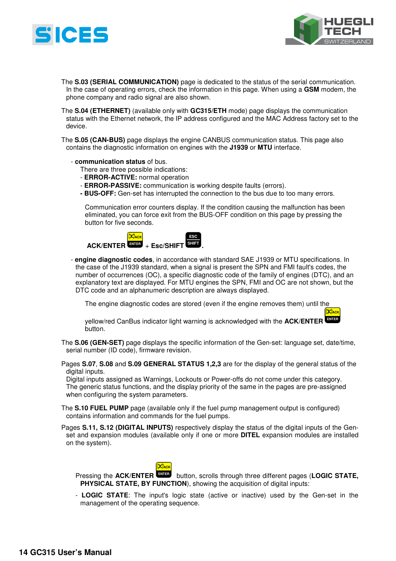



- The **S.03 (SERIAL COMMUNICATION)** page is dedicated to the status of the serial communication. In the case of operating errors, check the information in this page. When using a **GSM** modem, the phone company and radio signal are also shown.
- The **S.04 (ETHERNET)** (available only with **GC315/ETH** mode) page displays the communication status with the Ethernet network, the IP address configured and the MAC Address factory set to the device.
- The **S.05 (CAN-BUS)** page displays the engine CANBUS communication status. This page also contains the diagnostic information on engines with the **J1939** or **MTU** interface.
	- **communication status** of bus.
		- There are three possible indications:
		- **ERROR-ACTIVE:** normal operation
		- **ERROR-PASSIVE:** communication is working despite faults (errors).
		- **BUS-OFF:** Gen-set has interrupted the connection to the bus due to too many errors.

Communication error counters display. If the condition causing the malfunction has been eliminated, you can force exit from the BUS-OFF condition on this page by pressing the button for five seconds.



- **engine diagnostic codes**, in accordance with standard SAE J1939 or MTU specifications. In the case of the J1939 standard, when a signal is present the SPN and FMI fault's codes, the number of occurrences (OC), a specific diagnostic code of the family of engines (DTC), and an explanatory text are displayed. For MTU engines the SPN, FMI and OC are not shown, but the DTC code and an alphanumeric description are always displayed.

The engine diagnostic codes are stored (even if the engine removes them) until the

yellow/red CanBus indicator light warning is acknowledged with the **ACK/ENTER ENTER** button.  **ACK**

- The **S.06 (GEN-SET)** page displays the specific information of the Gen-set: language set, date/time, serial number (ID code), firmware revision.
- Pages **S.07**, **S.08** and **S.09 GENERAL STATUS 1,2,3** are for the display of the general status of the digital inputs.

Digital inputs assigned as Warnings, Lockouts or Power-offs do not come under this category. The generic status functions, and the display priority of the same in the pages are pre-assigned when configuring the system parameters.

- The **S.10 FUEL PUMP** page (available only if the fuel pump management output is configured) contains information and commands for the fuel pumps.
- Pages **S.11, S.12 (DIGITAL INPUTS)** respectively display the status of the digital inputs of the Genset and expansion modules (available only if one or more **DITEL** expansion modules are installed on the system).



Pressing the **ACK/ENTER** button, scrolls through three different pages (**LOGIC STATE, PHYSICAL STATE, BY FUNCTION**), showing the acquisition of digital inputs:

- **LOGIC STATE**: The input's logic state (active or inactive) used by the Gen-set in the management of the operating sequence.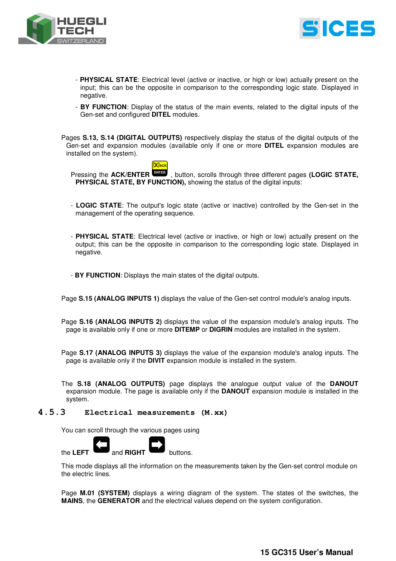



- **PHYSICAL STATE**: Electrical level (active or inactive, or high or low) actually present on the input; this can be the opposite in comparison to the corresponding logic state. Displayed in negative.
- **BY FUNCTION**: Display of the status of the main events, related to the digital inputs of the Gen-set and configured **DITEL** modules.

Pages **S.13, S.14 (DIGITAL OUTPUTS)** respectively display the status of the digital outputs of the Gen-set and expansion modules (available only if one or more **DITEL** expansion modules are installed on the system).



Pressing the **ACK/ENTER** , button, scrolls through three different pages **(LOGIC STATE, PHYSICAL STATE, BY FUNCTION),** showing the status of the digital inputs:

- **LOGIC STATE**: The output's logic state (active or inactive) controlled by the Gen-set in the management of the operating sequence.
- **PHYSICAL STATE**: Electrical level (active or inactive, or high or low) actually present on the output; this can be the opposite in comparison to the corresponding logic state. Displayed in negative.

- **BY FUNCTION**: Displays the main states of the digital outputs.

Page **S.15 (ANALOG INPUTS 1)** displays the value of the Gen-set control module's analog inputs.

Page **S.16 (ANALOG INPUTS 2)** displays the value of the expansion module's analog inputs. The page is available only if one or more **DITEMP** or **DIGRIN** modules are installed in the system.

Page **S.17 (ANALOG INPUTS 3)** displays the value of the expansion module's analog inputs. The page is available only if the **DIVIT** expansion module is installed in the system.

The **S.18 (ANALOG OUTPUTS)** page displays the analogue output value of the **DANOUT** expansion module. The page is available only if the **DANOUT** expansion module is installed in the system.

#### **4.5.3 Electrical measurements (M.xx)**

You can scroll through the various pages using



This mode displays all the information on the measurements taken by the Gen-set control module on the electric lines.

Page **M.01 (SYSTEM)** displays a wiring diagram of the system. The states of the switches, the **MAINS**, the **GENERATOR** and the electrical values depend on the system configuration.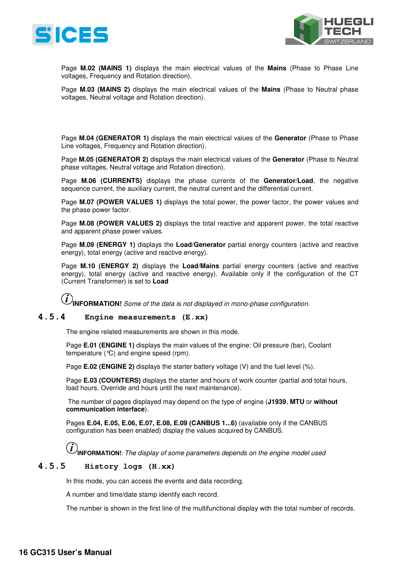



Page **M.02 (MAINS 1)** displays the main electrical values of the **Mains** (Phase to Phase Line voltages, Frequency and Rotation direction).

Page **M.03 (MAINS 2)** displays the main electrical values of the **Mains** (Phase to Neutral phase voltages, Neutral voltage and Rotation direction).

Page **M.04 (GENERATOR 1)** displays the main electrical values of the **Generator** (Phase to Phase Line voltages, Frequency and Rotation direction).

Page **M.05 (GENERATOR 2)** displays the main electrical values of the **Generator** (Phase to Neutral phase voltages, Neutral voltage and Rotation direction).

Page **M.06 (CURRENTS)** displays the phase currents of the **Generator**/**Load**, the negative sequence current, the auxiliary current, the neutral current and the differential current.

Page **M.07 (POWER VALUES 1)** displays the total power, the power factor, the power values and the phase power factor.

Page **M.08 (POWER VALUES 2)** displays the total reactive and apparent power, the total reactive and apparent phase power values.

Page **M.09 (ENERGY 1)** displays the **Load**/**Generator** partial energy counters (active and reactive energy), total energy (active and reactive energy).

Page **M.10 (ENERGY 2)** displays the **Load**/**Mains** partial energy counters (active and reactive energy), total energy (active and reactive energy). Available only if the configuration of the CT (Current Transformer) is set to **Load**

**INFORMATION!** *Some of the data is not displayed in mono-phase configuration.* 

#### **4.5.4 Engine measurements (E.xx)**

The engine related measurements are shown in this mode.

Page **E.01 (ENGINE 1)** displays the main values of the engine: Oil pressure (bar), Coolant temperature (°C) and engine speed (rpm).

Page **E.02 (ENGINE 2)** displays the starter battery voltage (V) and the fuel level (%).

Page **E.03 (COUNTERS)** displays the starter and hours of work counter (partial and total hours, load hours, Override and hours until the next maintenance).

 The number of pages displayed may depend on the type of engine (**J1939**, **MTU** or **without communication interface**).

Pages **E.04, E.05, E.06, E.07, E.08, E.09 (CANBUS 1...6)** (available only if the CANBUS configuration has been enabled) display the values acquired by CANBUS.

 $(i)$ **INFORMATION!***: The display of some parameters depends on the engine model used* 

#### **4.5.5 History logs (H.xx)**

In this mode, you can access the events and data recording.

A number and time/date stamp identify each record.

The number is shown in the first line of the multifunctional display with the total number of records.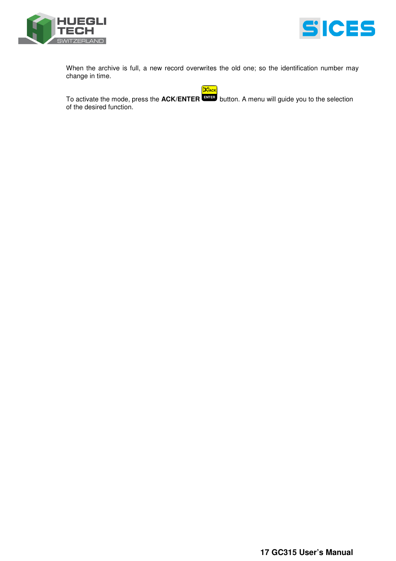



When the archive is full, a new record overwrites the old one; so the identification number may change in time.

 **ACK**

To activate the mode, press the **ACK/ENTER** button. A menu will guide you to the selection **ENTER** of the desired function.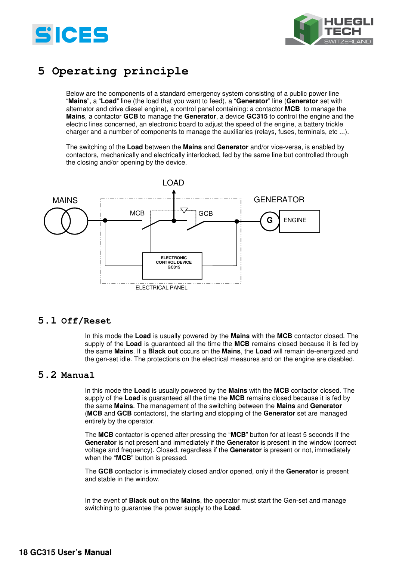



## **5 Operating principle**

Below are the components of a standard emergency system consisting of a public power line "**Mains**", a "**Load**" line (the load that you want to feed), a "**Generator**" line (**Generator** set with alternator and drive diesel engine), a control panel containing: a contactor **MCB** to manage the **Mains**, a contactor **GCB** to manage the **Generator**, a device **GC315** to control the engine and the electric lines concerned, an electronic board to adjust the speed of the engine, a battery trickle charger and a number of components to manage the auxiliaries (relays, fuses, terminals, etc ...).

The switching of the **Load** between the **Mains** and **Generator** and/or vice-versa, is enabled by contactors, mechanically and electrically interlocked, fed by the same line but controlled through the closing and/or opening by the device.



### **5.1 Off/Reset**

In this mode the **Load** is usually powered by the **Mains** with the **MCB** contactor closed. The supply of the **Load** is guaranteed all the time the **MCB** remains closed because it is fed by the same **Mains**. If a **Black out** occurs on the **Mains**, the **Load** will remain de-energized and the gen-set idle. The protections on the electrical measures and on the engine are disabled.

### **5.2 Manual**

In this mode the **Load** is usually powered by the **Mains** with the **MCB** contactor closed. The supply of the **Load** is guaranteed all the time the **MCB** remains closed because it is fed by the same **Mains**. The management of the switching between the **Mains** and **Generator** (**MCB** and **GCB** contactors), the starting and stopping of the **Generator** set are managed entirely by the operator.

The **MCB** contactor is opened after pressing the "**MCB**" button for at least 5 seconds if the **Generator** is not present and immediately if the **Generator** is present in the window (correct voltage and frequency). Closed, regardless if the **Generator** is present or not, immediately when the "**MCB**" button is pressed.

The **GCB** contactor is immediately closed and/or opened, only if the **Generator** is present and stable in the window.

In the event of **Black out** on the **Mains**, the operator must start the Gen-set and manage switching to guarantee the power supply to the **Load**.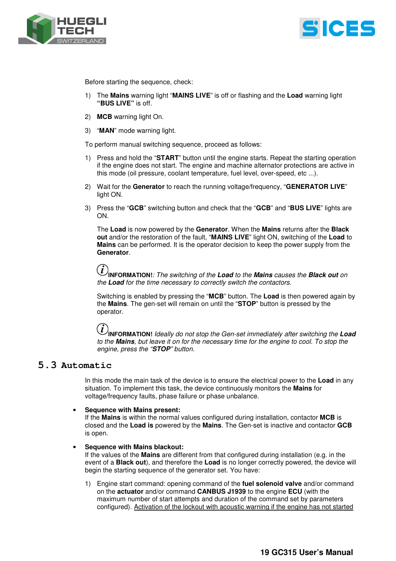



Before starting the sequence, check:

- 1) The **Mains** warning light "**MAINS LIVE**" is off or flashing and the **Load** warning light **"BUS LIVE"** is off.
- 2) **MCB** warning light On.
- 3) "**MAN**" mode warning light.

To perform manual switching sequence, proceed as follows:

- 1) Press and hold the "**START**" button until the engine starts. Repeat the starting operation if the engine does not start. The engine and machine alternator protections are active in this mode (oil pressure, coolant temperature, fuel level, over-speed, etc ...).
- 2) Wait for the **Generator** to reach the running voltage/frequency, "**GENERATOR LIVE**" light ON.
- 3) Press the "**GCB**" switching button and check that the "**GCB**" and "**BUS LIVE**" lights are ON.

The **Load** is now powered by the **Generator**. When the **Mains** returns after the **Black out** and/or the restoration of the fault, "**MAINS LIVE**" light ON, switching of the **Load** to **Mains** can be performed. It is the operator decision to keep the power supply from the **Generator**.

**INFORMATION!***: The switching of the* **Load** *to the* **Mains** *causes the* **Black out** *on the* **Load** *for the time necessary to correctly switch the contactors.*

Switching is enabled by pressing the "**MCB**" button. The **Load** is then powered again by the **Mains**. The gen-set will remain on until the "**STOP**" button is pressed by the operator.

## $(i)$

**INFORMATION!** *Ideally do not stop the Gen-set immediately after switching the* **Load** *to the* **Mains***, but leave it on for the necessary time for the engine to cool. To stop the engine, press the "***STOP***" button.* 

## **5.3 Automatic**

In this mode the main task of the device is to ensure the electrical power to the **Load** in any situation. To implement this task, the device continuously monitors the **Mains** for voltage/frequency faults, phase failure or phase unbalance.

#### • **Sequence with Mains present:**

If the **Mains** is within the normal values configured during installation, contactor **MCB** is closed and the **Load is** powered by the **Mains**. The Gen-set is inactive and contactor **GCB** is open.

#### • **Sequence with Mains blackout:**

If the values of the **Mains** are different from that configured during installation (e.g. in the event of a **Black out**), and therefore the **Load** is no longer correctly powered, the device will begin the starting sequence of the generator set. You have:

1) Engine start command: opening command of the **fuel solenoid valve** and/or command on the **actuator** and/or command **CANBUS J1939** to the engine **ECU** (with the maximum number of start attempts and duration of the command set by parameters configured). Activation of the lockout with acoustic warning if the engine has not started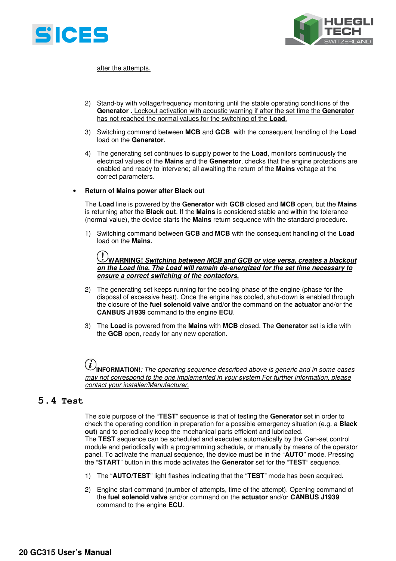



after the attempts.

- 2) Stand-by with voltage/frequency monitoring until the stable operating conditions of the **Generator** . Lockout activation with acoustic warning if after the set time the **Generator** has not reached the normal values for the switching of the **Load**.
- 3) Switching command between **MCB** and **GCB** with the consequent handling of the **Load** load on the **Generator**.
- 4) The generating set continues to supply power to the **Load**, monitors continuously the electrical values of the **Mains** and the **Generator**, checks that the engine protections are enabled and ready to intervene; all awaiting the return of the **Mains** voltage at the correct parameters.

#### • **Return of Mains power after Black out**

The **Load** line is powered by the **Generator** with **GCB** closed and **MCB** open, but the **Mains** is returning after the **Black out**. If the **Mains** is considered stable and within the tolerance (normal value), the device starts the **Mains** return sequence with the standard procedure.

1) Switching command between **GCB** and **MCB** with the consequent handling of the **Load** load on the **Mains**.



- 2) The generating set keeps running for the cooling phase of the engine (phase for the disposal of excessive heat). Once the engine has cooled, shut-down is enabled through the closure of the **fuel solenoid valve** and/or the command on the **actuator** and/or the **CANBUS J1939** command to the engine **ECU**.
- 3) The **Load** is powered from the **Mains** with **MCB** closed. The **Generator** set is idle with the **GCB** open, ready for any new operation.

#### $\boldsymbol{l}$ **INFORMATION!***: The operating sequence described above is generic and in some cases may not correspond to the one implemented in your system For further information, please contact your installer/Manufacturer.*

### **5.4 Test**

The sole purpose of the "**TEST**" sequence is that of testing the **Generator** set in order to check the operating condition in preparation for a possible emergency situation (e.g. a **Black out**) and to periodically keep the mechanical parts efficient and lubricated. The **TEST** sequence can be scheduled and executed automatically by the Gen-set control module and periodically with a programming schedule, or manually by means of the operator panel. To activate the manual sequence, the device must be in the "**AUTO**" mode. Pressing the "**START**" button in this mode activates the **Generator** set for the "**TEST**" sequence.

- 1) The "**AUTO/TEST**" light flashes indicating that the "**TEST**" mode has been acquired.
- 2) Engine start command (number of attempts, time of the attempt). Opening command of the **fuel solenoid valve** and/or command on the **actuator** and/or **CANBUS J1939** command to the engine **ECU**.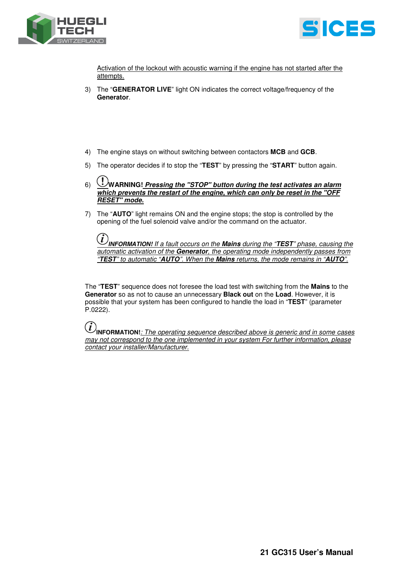



Activation of the lockout with acoustic warning if the engine has not started after the attempts.

- 3) The "**GENERATOR LIVE**" light ON indicates the correct voltage/frequency of the **Generator**.
- 4) The engine stays on without switching between contactors **MCB** and **GCB**.
- 5) The operator decides if to stop the "**TEST**" by pressing the "**START**" button again.
- 6) **WARNING! Pressing the "STOP" button during the test activates an alarm which prevents the restart of the engine, which can only be reset in the "OFF RESET" mode.**
- 7) The "**AUTO**" light remains ON and the engine stops; the stop is controlled by the opening of the fuel solenoid valve and/or the command on the actuator.

**INFORMATION!** *If a fault occurs on the* **Mains** *during the "***TEST***" phase, causing the automatic activation of the* **Generator***, the operating mode independently passes from "***TEST***" to automatic "***AUTO***". When the* **Mains** *returns, the mode remains in "***AUTO***".* 

The "**TEST**" sequence does not foresee the load test with switching from the **Mains** to the **Generator** so as not to cause an unnecessary **Black out** on the **Load**. However, it is possible that your system has been configured to handle the load in "**TEST**" (parameter P.0222).

**INFORMATION!***: The operating sequence described above is generic and in some cases may not correspond to the one implemented in your system For further information, please contact your installer/Manufacturer.*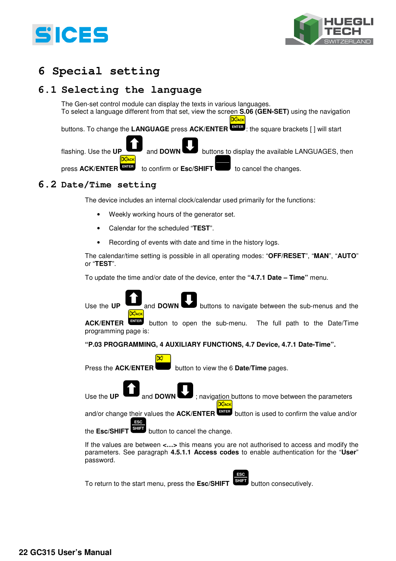



## **6 Special setting**

## **6.1 Selecting the language**

The Gen-set control module can display the texts in various languages. To select a language different from that set, view the screen **S.06 (GEN-SET)** using the navigation

**ACK**

buttons. To change the **LANGUAGE** press **ACK/ENTER** : the square brackets [ ] will start  **ENTER**

flashing. Use the **UP** and **DOWN** buttons to display the available LANGUAGES, then  **ENTER ACK**

press **ACK/ENTER** to confirm or **Esc/SHIFT** to cancel the changes.

## **6.2 Date/Time setting**

The device includes an internal clock/calendar used primarily for the functions:

- Weekly working hours of the generator set.
- Calendar for the scheduled "**TEST**".
- Recording of events with date and time in the history logs.

The calendar/time setting is possible in all operating modes: "**OFF/RESET**", "**MAN**", "**AUTO**" or "**TEST**".

To update the time and/or date of the device, enter the **"4.7.1 Date – Time"** menu.



To return to the start menu, press the **Esc/SHIFT** button consecutively.

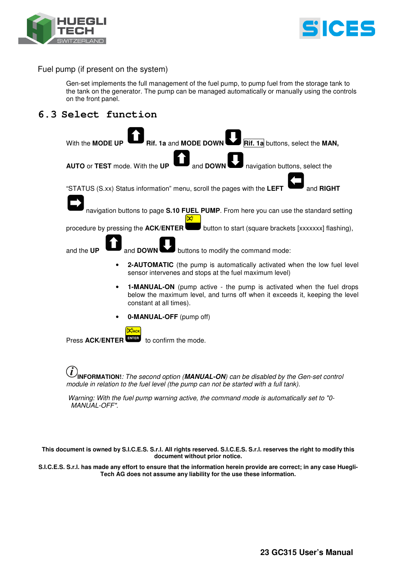



Fuel pump (if present on the system)

Gen-set implements the full management of the fuel pump, to pump fuel from the storage tank to the tank on the generator. The pump can be managed automatically or manually using the controls on the front panel.

## **6.3 Select function**



**INFORMATION!***: The second option (***MANUAL-ON***) can be disabled by the Gen-set control module in relation to the fuel level (the pump can not be started with a full tank).* 

 *Warning: With the fuel pump warning active, the command mode is automatically set to "0- MANUAL-OFF".* 

**This document is owned by S.I.C.E.S. S.r.l. All rights reserved. S.I.C.E.S. S.r.l. reserves the right to modify this document without prior notice.** 

**S.I.C.E.S. S.r.l. has made any effort to ensure that the information herein provide are correct; in any case Huegli-Tech AG does not assume any liability for the use these information.**